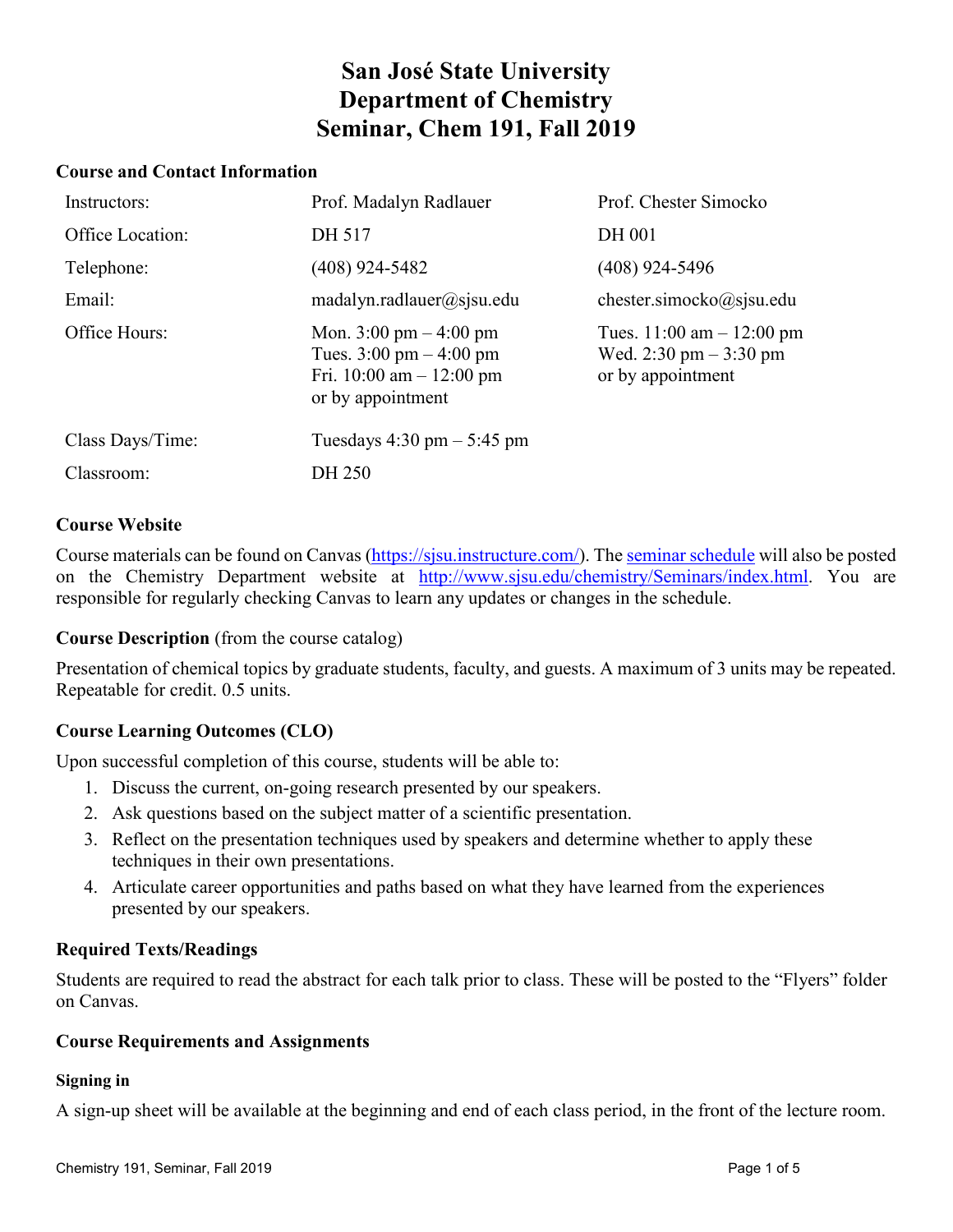# **San José State University Department of Chemistry Seminar, Chem 191, Fall 2019**

#### **Course and Contact Information**

| Instructors:     | Prof. Madalyn Radlauer                                                                                                                   | Prof. Chester Simocko                                                         |
|------------------|------------------------------------------------------------------------------------------------------------------------------------------|-------------------------------------------------------------------------------|
| Office Location: | DH 517                                                                                                                                   | <b>DH 001</b>                                                                 |
| Telephone:       | $(408)$ 924-5482                                                                                                                         | $(408)$ 924-5496                                                              |
| Email:           | matalyn.radlauer@sjsu.edu                                                                                                                | chester.simocko $@$ sjsu.edu                                                  |
| Office Hours:    | Mon. $3:00 \text{ pm} - 4:00 \text{ pm}$<br>Tues. $3:00 \text{ pm} - 4:00 \text{ pm}$<br>Fri. 10:00 am $-$ 12:00 pm<br>or by appointment | Tues. $11:00$ am $- 12:00$ pm<br>Wed. 2:30 pm $-3:30$ pm<br>or by appointment |
| Class Days/Time: | Tuesdays $4:30 \text{ pm} - 5:45 \text{ pm}$                                                                                             |                                                                               |
| Classroom:       | DH 250                                                                                                                                   |                                                                               |

#### **Course Website**

Course materials can be found on Canvas [\(https://sjsu.instructure.com/\)](https://sjsu.instructure.com/). The [seminar schedule](http://www.sjsu.edu/chemistry/Seminars/index.html) will also be posted on the Chemistry Department website at [http://www.sjsu.edu/chemistry/Seminars/index.html.](http://www.sjsu.edu/chemistry/Seminars/index.html) You are responsible for regularly checking Canvas to learn any updates or changes in the schedule.

**Course Description** (from the course catalog)

Presentation of chemical topics by graduate students, faculty, and guests. A maximum of 3 units may be repeated. Repeatable for credit. 0.5 units.

# **Course Learning Outcomes (CLO)**

Upon successful completion of this course, students will be able to:

- 1. Discuss the current, on-going research presented by our speakers.
- 2. Ask questions based on the subject matter of a scientific presentation.
- 3. Reflect on the presentation techniques used by speakers and determine whether to apply these techniques in their own presentations.
- 4. Articulate career opportunities and paths based on what they have learned from the experiences presented by our speakers.

## **Required Texts/Readings**

Students are required to read the abstract for each talk prior to class. These will be posted to the "Flyers" folder on Canvas.

#### **Course Requirements and Assignments**

#### **Signing in**

A sign-up sheet will be available at the beginning and end of each class period, in the front of the lecture room.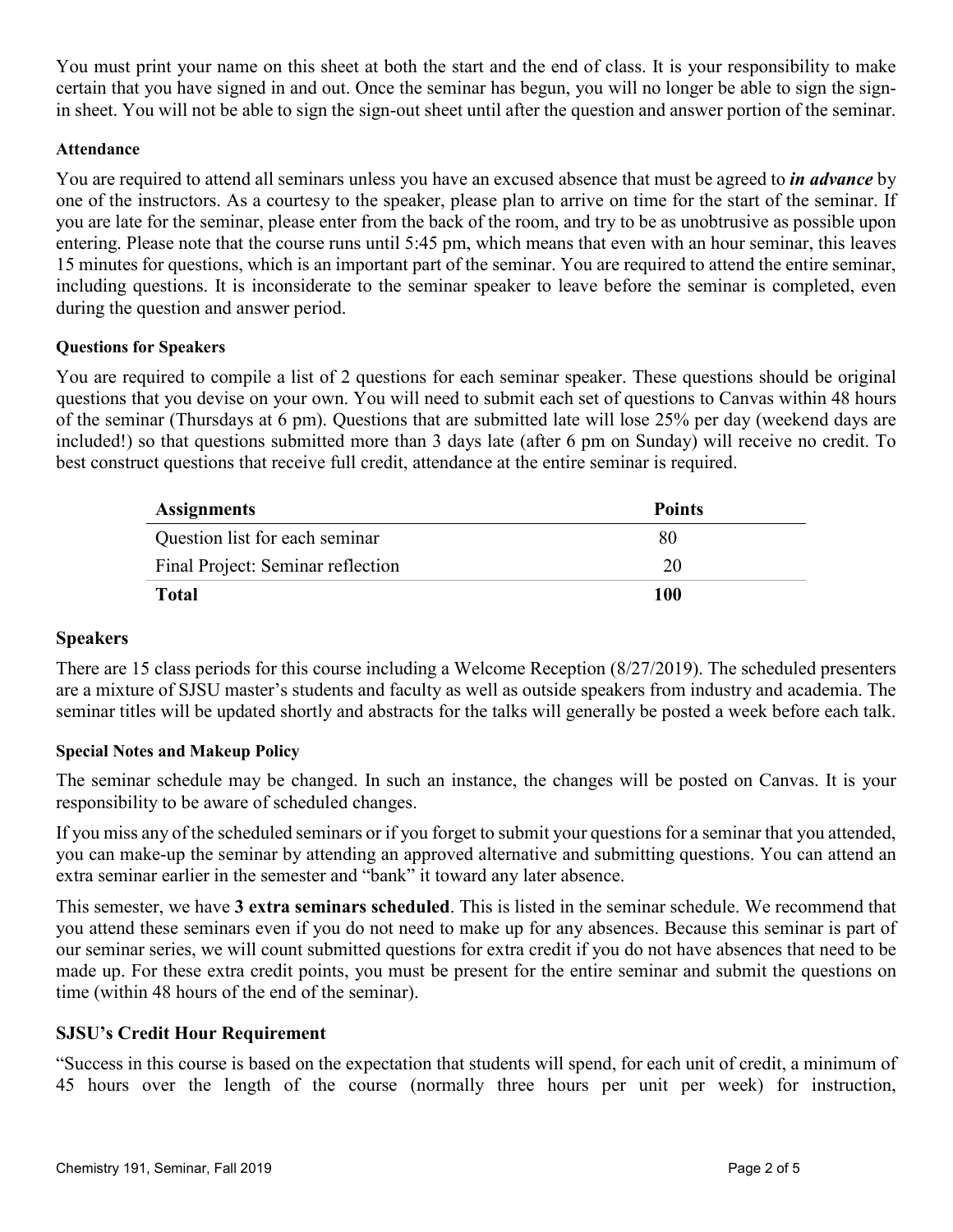You must print your name on this sheet at both the start and the end of class. It is your responsibility to make certain that you have signed in and out. Once the seminar has begun, you will no longer be able to sign the signin sheet. You will not be able to sign the sign-out sheet until after the question and answer portion of the seminar.

## **Attendance**

You are required to attend all seminars unless you have an excused absence that must be agreed to *in advance* by one of the instructors. As a courtesy to the speaker, please plan to arrive on time for the start of the seminar. If you are late for the seminar, please enter from the back of the room, and try to be as unobtrusive as possible upon entering. Please note that the course runs until 5:45 pm, which means that even with an hour seminar, this leaves 15 minutes for questions, which is an important part of the seminar. You are required to attend the entire seminar, including questions. It is inconsiderate to the seminar speaker to leave before the seminar is completed, even during the question and answer period.

## **Questions for Speakers**

You are required to compile a list of 2 questions for each seminar speaker. These questions should be original questions that you devise on your own. You will need to submit each set of questions to Canvas within 48 hours of the seminar (Thursdays at 6 pm). Questions that are submitted late will lose 25% per day (weekend days are included!) so that questions submitted more than 3 days late (after 6 pm on Sunday) will receive no credit. To best construct questions that receive full credit, attendance at the entire seminar is required.

| <b>Assignments</b>                | <b>Points</b> |
|-----------------------------------|---------------|
| Question list for each seminar    | 80            |
| Final Project: Seminar reflection | 20            |
| <b>Total</b>                      | 100           |

## **Speakers**

There are 15 class periods for this course including a Welcome Reception (8/27/2019). The scheduled presenters are a mixture of SJSU master's students and faculty as well as outside speakers from industry and academia. The seminar titles will be updated shortly and abstracts for the talks will generally be posted a week before each talk.

## **Special Notes and Makeup Policy**

The seminar schedule may be changed. In such an instance, the changes will be posted on Canvas. It is your responsibility to be aware of scheduled changes.

If you miss any of the scheduled seminars or if you forget to submit your questions for a seminar that you attended, you can make-up the seminar by attending an approved alternative and submitting questions. You can attend an extra seminar earlier in the semester and "bank" it toward any later absence.

This semester, we have **3 extra seminars scheduled**. This is listed in the seminar schedule. We recommend that you attend these seminars even if you do not need to make up for any absences. Because this seminar is part of our seminar series, we will count submitted questions for extra credit if you do not have absences that need to be made up. For these extra credit points, you must be present for the entire seminar and submit the questions on time (within 48 hours of the end of the seminar).

# **SJSU's Credit Hour Requirement**

"Success in this course is based on the expectation that students will spend, for each unit of credit, a minimum of 45 hours over the length of the course (normally three hours per unit per week) for instruction,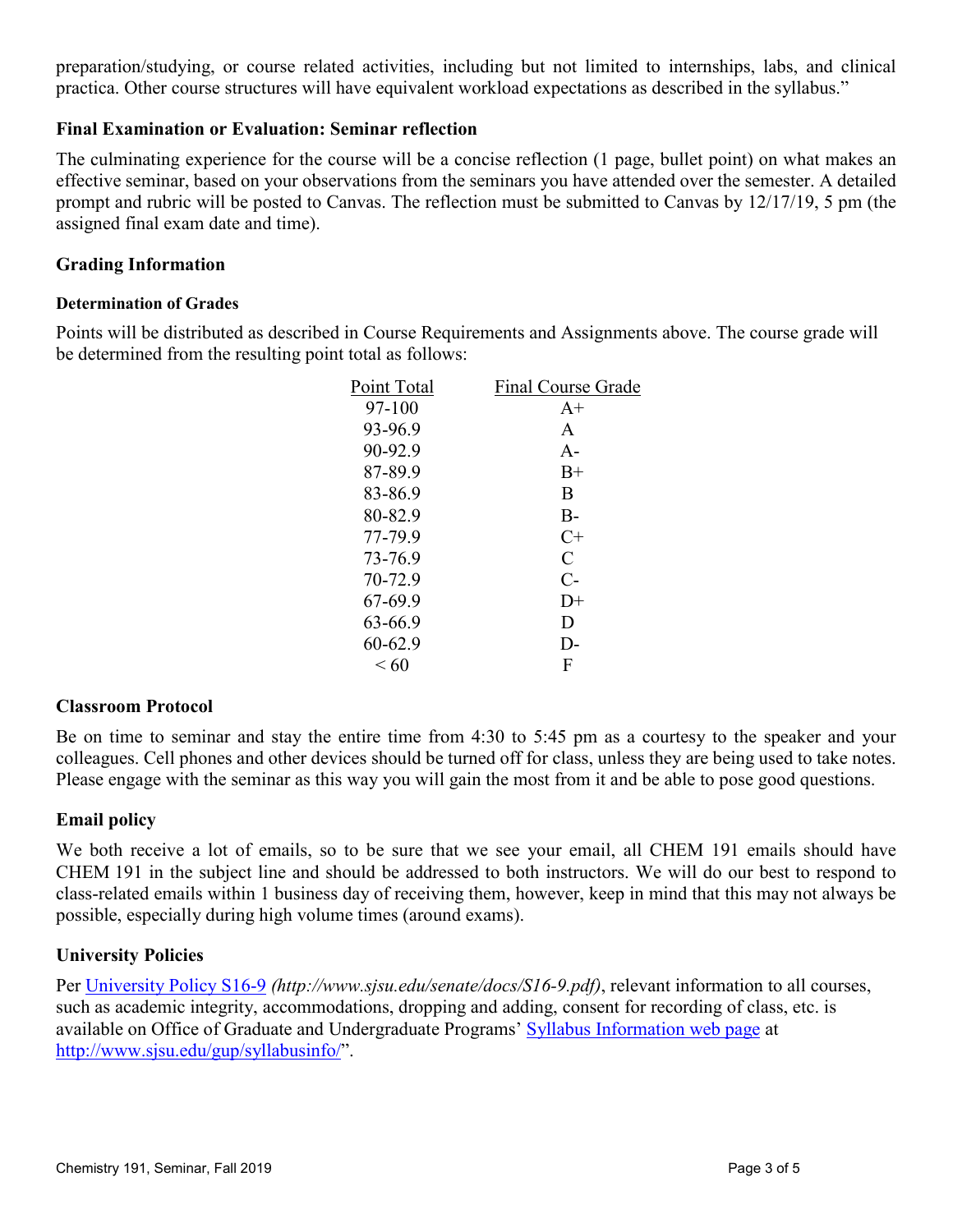preparation/studying, or course related activities, including but not limited to internships, labs, and clinical practica. Other course structures will have equivalent workload expectations as described in the syllabus."

## **Final Examination or Evaluation: Seminar reflection**

The culminating experience for the course will be a concise reflection (1 page, bullet point) on what makes an effective seminar, based on your observations from the seminars you have attended over the semester. A detailed prompt and rubric will be posted to Canvas. The reflection must be submitted to Canvas by 12/17/19, 5 pm (the assigned final exam date and time).

## **Grading Information**

## **Determination of Grades**

Points will be distributed as described in Course Requirements and Assignments above. The course grade will be determined from the resulting point total as follows:

| Point Total | <b>Final Course Grade</b> |
|-------------|---------------------------|
| 97-100      | $A+$                      |
| 93-96.9     | A                         |
| 90-92.9     | $A -$                     |
| 87-89.9     | $B+$                      |
| 83-86.9     | B                         |
| 80-82.9     | $B -$                     |
| 77-79.9     | $C+$                      |
| 73-76.9     | $\overline{C}$            |
| 70-72.9     | $C-$                      |
| 67-69.9     | $1) +$                    |
| 63-66.9     | D                         |
| 60-62.9     | $\mathsf{D}$              |
| < 60        | F                         |
|             |                           |

## **Classroom Protocol**

Be on time to seminar and stay the entire time from 4:30 to 5:45 pm as a courtesy to the speaker and your colleagues. Cell phones and other devices should be turned off for class, unless they are being used to take notes. Please engage with the seminar as this way you will gain the most from it and be able to pose good questions.

## **Email policy**

We both receive a lot of emails, so to be sure that we see your email, all CHEM 191 emails should have CHEM 191 in the subject line and should be addressed to both instructors. We will do our best to respond to class-related emails within 1 business day of receiving them, however, keep in mind that this may not always be possible, especially during high volume times (around exams).

# **University Policies**

Per [University Policy S16-9](http://www.sjsu.edu/senate/docs/S16-9.pdf) *(http://www.sjsu.edu/senate/docs/S16-9.pdf)*, relevant information to all courses, such as academic integrity, accommodations, dropping and adding, consent for recording of class, etc. is available on Office of Graduate and Undergraduate Programs' [Syllabus Information web page](http://www.sjsu.edu/gup/syllabusinfo/) at [http://www.sjsu.edu/gup/syllabusinfo/"](http://www.sjsu.edu/gup/syllabusinfo/).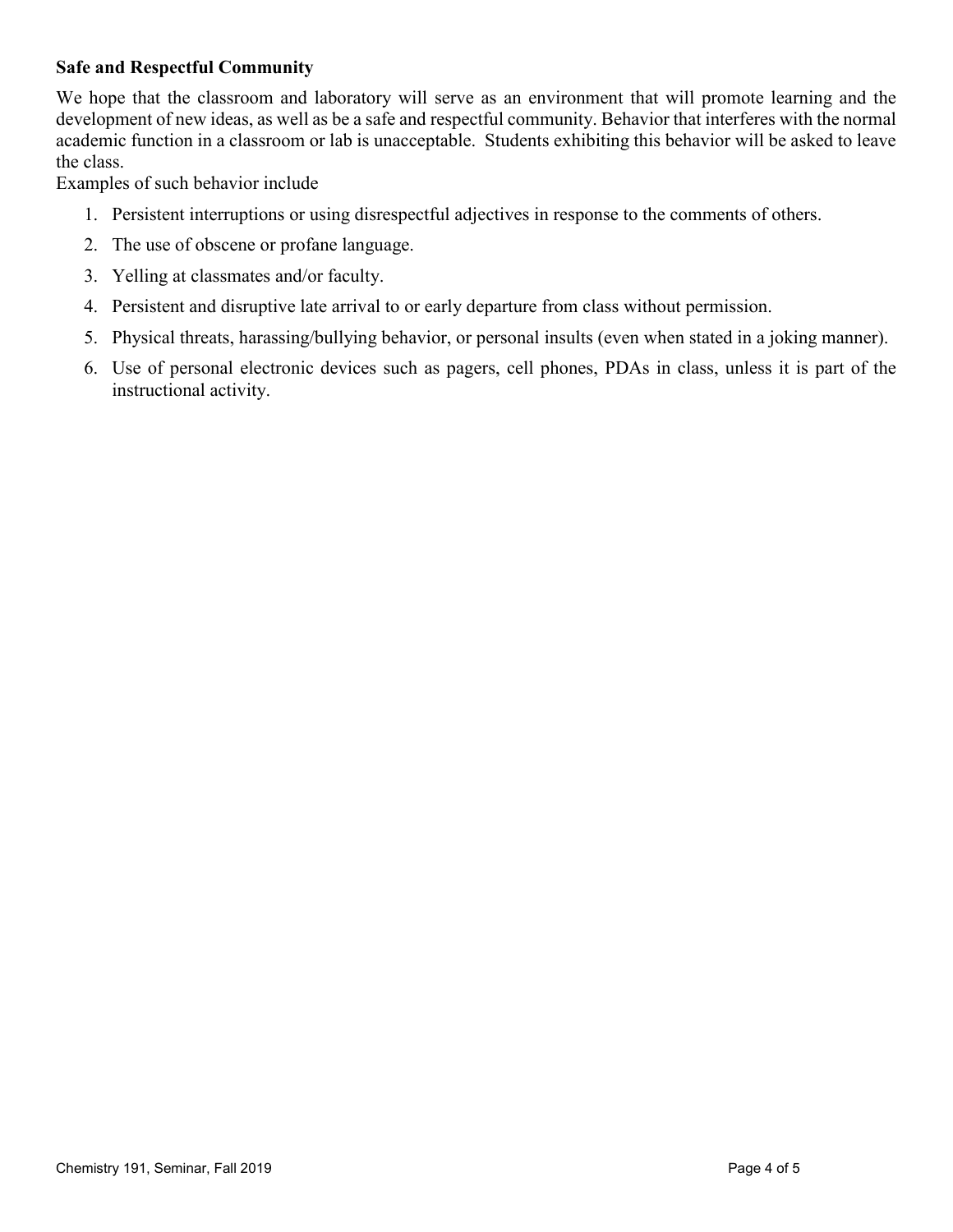# **Safe and Respectful Community**

We hope that the classroom and laboratory will serve as an environment that will promote learning and the development of new ideas, as well as be a safe and respectful community. Behavior that interferes with the normal academic function in a classroom or lab is unacceptable. Students exhibiting this behavior will be asked to leave the class.

Examples of such behavior include

- 1. Persistent interruptions or using disrespectful adjectives in response to the comments of others.
- 2. The use of obscene or profane language.
- 3. Yelling at classmates and/or faculty.
- 4. Persistent and disruptive late arrival to or early departure from class without permission.
- 5. Physical threats, harassing/bullying behavior, or personal insults (even when stated in a joking manner).
- 6. Use of personal electronic devices such as pagers, cell phones, PDAs in class, unless it is part of the instructional activity.